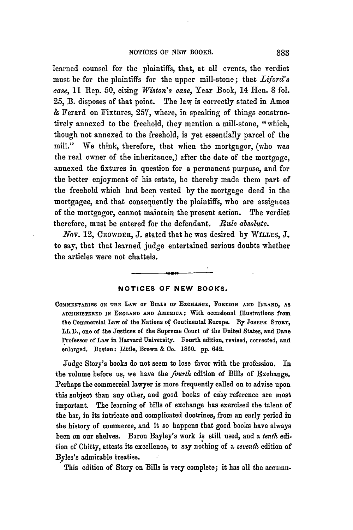learned counsel for the plaintiffs, that, at all events, the verdict must be for the plaintiffs for the upper mill-stone; that *Liford's case,* 11 Rep. 50, citing *Wiston's case,* Year Book, 14 Hen. 8 fol. **25,** B. disposes of that point. The law is correctly stated in Amos & Ferard on Fixtures, 257, where, in speaking of things constructively annexed to the freehold, they mention a mill-stone, "which, though not annexed to the freehold, is yet essentially parcel of the mill." We think, therefore, that when the mortgagor, (who was the real owner of the inheritance,) after the date of the mortgage, annexed the fixtures in question for a permanent purpose, and for the better enjoyment of his estate, he thereby made them part of the freehold which had been vested **by** the mortgage deed in the mortgagee, and that consequently the plaintiffs, who are assignees of the mortgagor, cannot maintain the present action. The verdict therefore, must be entered for the defendant. Rule *absolute.*

*Nnv.* 12, CROWDER, **J.** stated that he was desired by WfLLES, **J.** to say, that that learned judge entertained serious doubts whether the articles were not chattels.

## **NOTICES** OF **NEW** BOOKS.

**COMMENTARIES ON TnE** LAw **OF BILLS oF EXCHANGE, FOREIGN AND INLAND, AS ADMINISTERED IN ENGLAND AND AMERICA;** With occasional Illustrations from the Commercial Law of the Nations of Continental Europe. **By JosEPH STORY,** LL.D., one of the Justices of the Supreme Court of the United States, and Dane Professor of Law in Harvard University. Fourth edition, revised, corrected, and enlarged. Boston: Little, Brown & Co. **1860. pp.** 642.

Judge Story's books do not seem to lose favor with the profession. In the volume before us, we have the *fourth* edition of Bills of Exchange. Perhaps the commercial lawyer is more frequently called on to advise upon this subject than any other, and good books of easy reference are most important. The learning of bills of exchange has exercised the talent of the bar, in its intricate and complicated doctrines, from an early period in the history of commerce, and it so happens that good books have always been on our shelves. Baron Bayley's work is still used, and a *tenth* edition of Chitty, attests its excellence, to say nothing of a *seventh* edition of Byles's admirable treatise.

This edition of Story on Bills is very complete; it has all the accumu-